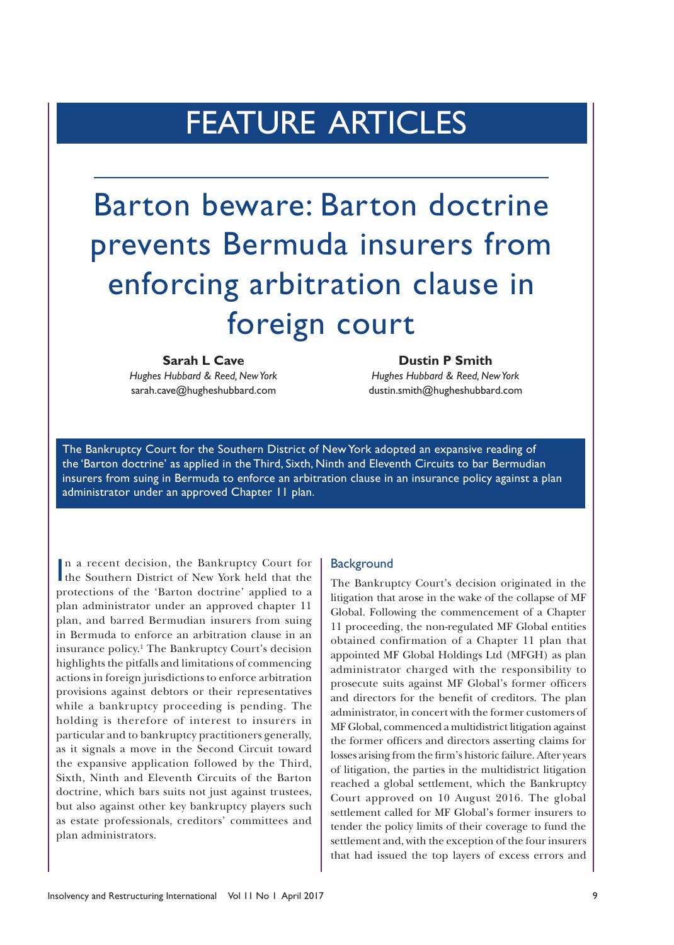## FEATURE ARTICLES

# Barton beware: Barton doctrine prevents Bermuda insurers from enforcing arbitration clause in foreign court

### **Sarah L Cave Dustin P Smith**

*Hughes Hubbard & Reed, New York Hughes Hubbard & Reed, New York* sarah.cave@hugheshubbard.com dustin.smith@hugheshubbard.com

The Bankruptcy Court for the Southern District of New York adopted an expansive reading of the 'Barton doctrine' as applied in the Third, Sixth, Ninth and Eleventh Circuits to bar Bermudian insurers from suing in Bermuda to enforce an arbitration clause in an insurance policy against a plan administrator under an approved Chapter 11 plan.

In a recent decision, the Bankruptcy Court for<br>the Southern District of New York held that the n a recent decision, the Bankruptcy Court for protections of the 'Barton doctrine' applied to a plan administrator under an approved chapter 11 plan, and barred Bermudian insurers from suing in Bermuda to enforce an arbitration clause in an insurance policy.1 The Bankruptcy Court's decision highlights the pitfalls and limitations of commencing actions in foreign jurisdictions to enforce arbitration provisions against debtors or their representatives while a bankruptcy proceeding is pending. The holding is therefore of interest to insurers in particular and to bankruptcy practitioners generally, as it signals a move in the Second Circuit toward the expansive application followed by the Third, Sixth, Ninth and Eleventh Circuits of the Barton doctrine, which bars suits not just against trustees, but also against other key bankruptcy players such as estate professionals, creditors' committees and plan administrators.

#### **Background**

The Bankruptcy Court's decision originated in the litigation that arose in the wake of the collapse of MF Global. Following the commencement of a Chapter 11 proceeding, the non-regulated MF Global entities obtained confirmation of a Chapter 11 plan that appointed MF Global Holdings Ltd (MFGH) as plan administrator charged with the responsibility to prosecute suits against MF Global's former officers and directors for the benefit of creditors. The plan administrator, in concert with the former customers of MF Global, commenced a multidistrict litigation against the former officers and directors asserting claims for losses arising from the firm's historic failure. After years of litigation, the parties in the multidistrict litigation reached a global settlement, which the Bankruptcy Court approved on 10 August 2016. The global settlement called for MF Global's former insurers to tender the policy limits of their coverage to fund the settlement and, with the exception of the four insurers that had issued the top layers of excess errors and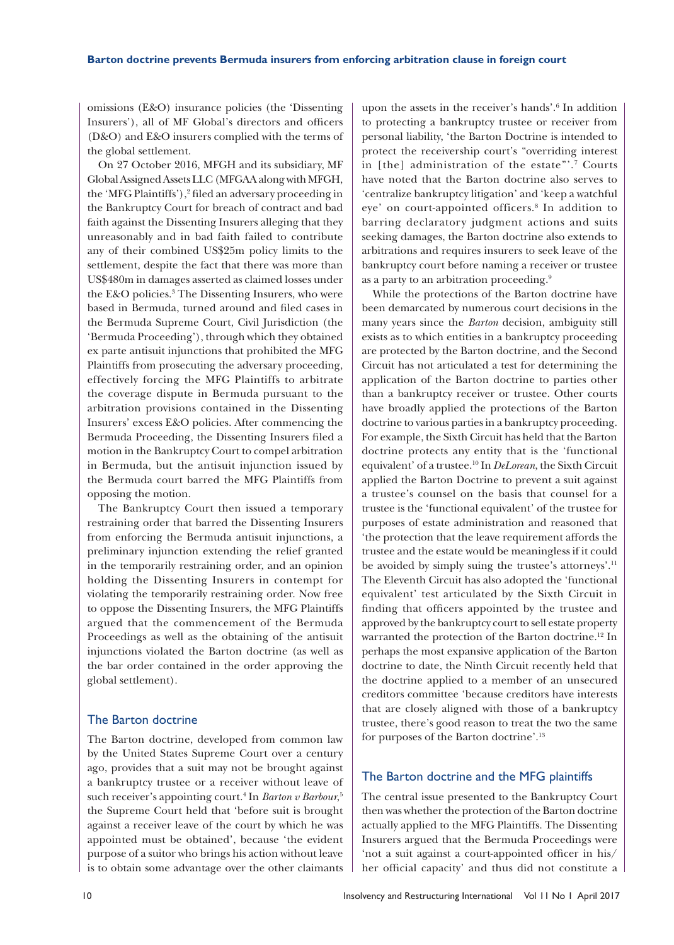omissions (E&O) insurance policies (the 'Dissenting Insurers'), all of MF Global's directors and officers (D&O) and E&O insurers complied with the terms of the global settlement.

On 27 October 2016, MFGH and its subsidiary, MF Global Assigned Assets LLC (MFGAA along with MFGH, the 'MFG Plaintiffs'),<sup>2</sup> filed an adversary proceeding in the Bankruptcy Court for breach of contract and bad faith against the Dissenting Insurers alleging that they unreasonably and in bad faith failed to contribute any of their combined US\$25m policy limits to the settlement, despite the fact that there was more than US\$480m in damages asserted as claimed losses under the E&O policies.<sup>3</sup> The Dissenting Insurers, who were based in Bermuda, turned around and filed cases in the Bermuda Supreme Court, Civil Jurisdiction (the 'Bermuda Proceeding'), through which they obtained ex parte antisuit injunctions that prohibited the MFG Plaintiffs from prosecuting the adversary proceeding, effectively forcing the MFG Plaintiffs to arbitrate the coverage dispute in Bermuda pursuant to the arbitration provisions contained in the Dissenting Insurers' excess E&O policies. After commencing the Bermuda Proceeding, the Dissenting Insurers filed a motion in the Bankruptcy Court to compel arbitration in Bermuda, but the antisuit injunction issued by the Bermuda court barred the MFG Plaintiffs from opposing the motion.

The Bankruptcy Court then issued a temporary restraining order that barred the Dissenting Insurers from enforcing the Bermuda antisuit injunctions, a preliminary injunction extending the relief granted in the temporarily restraining order, and an opinion holding the Dissenting Insurers in contempt for violating the temporarily restraining order. Now free to oppose the Dissenting Insurers, the MFG Plaintiffs argued that the commencement of the Bermuda Proceedings as well as the obtaining of the antisuit injunctions violated the Barton doctrine (as well as the bar order contained in the order approving the global settlement).

#### The Barton doctrine

The Barton doctrine, developed from common law by the United States Supreme Court over a century ago, provides that a suit may not be brought against a bankruptcy trustee or a receiver without leave of such receiver's appointing court.<sup>4</sup> In *Barton v Barbour*,<sup>5</sup> the Supreme Court held that 'before suit is brought against a receiver leave of the court by which he was appointed must be obtained', because 'the evident purpose of a suitor who brings his action without leave is to obtain some advantage over the other claimants

upon the assets in the receiver's hands'.<sup>6</sup> In addition to protecting a bankruptcy trustee or receiver from personal liability, 'the Barton Doctrine is intended to protect the receivership court's "overriding interest in [the] administration of the estate"'.7 Courts have noted that the Barton doctrine also serves to 'centralize bankruptcy litigation' and 'keep a watchful eye' on court-appointed officers.<sup>8</sup> In addition to barring declaratory judgment actions and suits seeking damages, the Barton doctrine also extends to arbitrations and requires insurers to seek leave of the bankruptcy court before naming a receiver or trustee as a party to an arbitration proceeding.9

While the protections of the Barton doctrine have been demarcated by numerous court decisions in the many years since the *Barton* decision, ambiguity still exists as to which entities in a bankruptcy proceeding are protected by the Barton doctrine, and the Second Circuit has not articulated a test for determining the application of the Barton doctrine to parties other than a bankruptcy receiver or trustee. Other courts have broadly applied the protections of the Barton doctrine to various parties in a bankruptcy proceeding. For example, the Sixth Circuit has held that the Barton doctrine protects any entity that is the 'functional equivalent' of a trustee.10 In *DeLorean*, the Sixth Circuit applied the Barton Doctrine to prevent a suit against a trustee's counsel on the basis that counsel for a trustee is the 'functional equivalent' of the trustee for purposes of estate administration and reasoned that 'the protection that the leave requirement affords the trustee and the estate would be meaningless if it could be avoided by simply suing the trustee's attorneys'.11 The Eleventh Circuit has also adopted the 'functional equivalent' test articulated by the Sixth Circuit in finding that officers appointed by the trustee and approved by the bankruptcy court to sell estate property warranted the protection of the Barton doctrine.<sup>12</sup> In perhaps the most expansive application of the Barton doctrine to date, the Ninth Circuit recently held that the doctrine applied to a member of an unsecured creditors committee 'because creditors have interests that are closely aligned with those of a bankruptcy trustee, there's good reason to treat the two the same for purposes of the Barton doctrine'.13

### The Barton doctrine and the MFG plaintiffs

The central issue presented to the Bankruptcy Court then was whether the protection of the Barton doctrine actually applied to the MFG Plaintiffs. The Dissenting Insurers argued that the Bermuda Proceedings were 'not a suit against a court-appointed officer in his/ her official capacity' and thus did not constitute a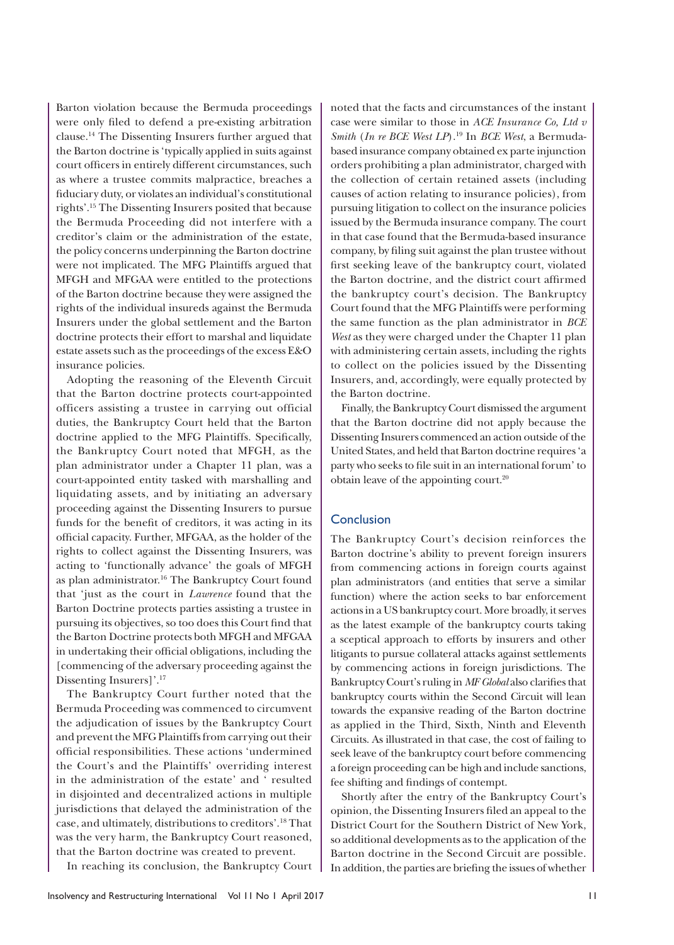Barton violation because the Bermuda proceedings were only filed to defend a pre-existing arbitration clause.14 The Dissenting Insurers further argued that the Barton doctrine is 'typically applied in suits against court officers in entirely different circumstances, such as where a trustee commits malpractice, breaches a fiduciary duty, or violates an individual's constitutional rights'.15 The Dissenting Insurers posited that because the Bermuda Proceeding did not interfere with a creditor's claim or the administration of the estate, the policy concerns underpinning the Barton doctrine were not implicated. The MFG Plaintiffs argued that MFGH and MFGAA were entitled to the protections of the Barton doctrine because they were assigned the rights of the individual insureds against the Bermuda Insurers under the global settlement and the Barton doctrine protects their effort to marshal and liquidate estate assets such as the proceedings of the excess E&O insurance policies.

Adopting the reasoning of the Eleventh Circuit that the Barton doctrine protects court-appointed officers assisting a trustee in carrying out official duties, the Bankruptcy Court held that the Barton doctrine applied to the MFG Plaintiffs. Specifically, the Bankruptcy Court noted that MFGH, as the plan administrator under a Chapter 11 plan, was a court-appointed entity tasked with marshalling and liquidating assets, and by initiating an adversary proceeding against the Dissenting Insurers to pursue funds for the benefit of creditors, it was acting in its official capacity. Further, MFGAA, as the holder of the rights to collect against the Dissenting Insurers, was acting to 'functionally advance' the goals of MFGH as plan administrator.<sup>16</sup> The Bankruptcy Court found that 'just as the court in *Lawrence* found that the Barton Doctrine protects parties assisting a trustee in pursuing its objectives, so too does this Court find that the Barton Doctrine protects both MFGH and MFGAA in undertaking their official obligations, including the [commencing of the adversary proceeding against the Dissenting Insurers]'.17

The Bankruptcy Court further noted that the Bermuda Proceeding was commenced to circumvent the adjudication of issues by the Bankruptcy Court and prevent the MFG Plaintiffs from carrying out their official responsibilities. These actions 'undermined the Court's and the Plaintiffs' overriding interest in the administration of the estate' and ' resulted in disjointed and decentralized actions in multiple jurisdictions that delayed the administration of the case, and ultimately, distributions to creditors'.18 That was the very harm, the Bankruptcy Court reasoned, that the Barton doctrine was created to prevent.

In reaching its conclusion, the Bankruptcy Court

noted that the facts and circumstances of the instant case were similar to those in *ACE Insurance Co, Ltd v Smith* (*In re BCE West LP*).19 In *BCE West*, a Bermudabased insurance company obtained ex parte injunction orders prohibiting a plan administrator, charged with the collection of certain retained assets (including causes of action relating to insurance policies), from pursuing litigation to collect on the insurance policies issued by the Bermuda insurance company. The court in that case found that the Bermuda-based insurance company, by filing suit against the plan trustee without first seeking leave of the bankruptcy court, violated the Barton doctrine, and the district court affirmed the bankruptcy court's decision. The Bankruptcy Court found that the MFG Plaintiffs were performing the same function as the plan administrator in *BCE West* as they were charged under the Chapter 11 plan with administering certain assets, including the rights to collect on the policies issued by the Dissenting Insurers, and, accordingly, were equally protected by the Barton doctrine.

Finally, the Bankruptcy Court dismissed the argument that the Barton doctrine did not apply because the Dissenting Insurers commenced an action outside of the United States, and held that Barton doctrine requires 'a party who seeks to file suit in an international forum' to obtain leave of the appointing court.20

#### **Conclusion**

The Bankruptcy Court's decision reinforces the Barton doctrine's ability to prevent foreign insurers from commencing actions in foreign courts against plan administrators (and entities that serve a similar function) where the action seeks to bar enforcement actions in a US bankruptcy court. More broadly, it serves as the latest example of the bankruptcy courts taking a sceptical approach to efforts by insurers and other litigants to pursue collateral attacks against settlements by commencing actions in foreign jurisdictions. The Bankruptcy Court's ruling in *MF Global* also clarifies that bankruptcy courts within the Second Circuit will lean towards the expansive reading of the Barton doctrine as applied in the Third, Sixth, Ninth and Eleventh Circuits. As illustrated in that case, the cost of failing to seek leave of the bankruptcy court before commencing a foreign proceeding can be high and include sanctions, fee shifting and findings of contempt.

Shortly after the entry of the Bankruptcy Court's opinion, the Dissenting Insurers filed an appeal to the District Court for the Southern District of New York, so additional developments as to the application of the Barton doctrine in the Second Circuit are possible. In addition, the parties are briefing the issues of whether